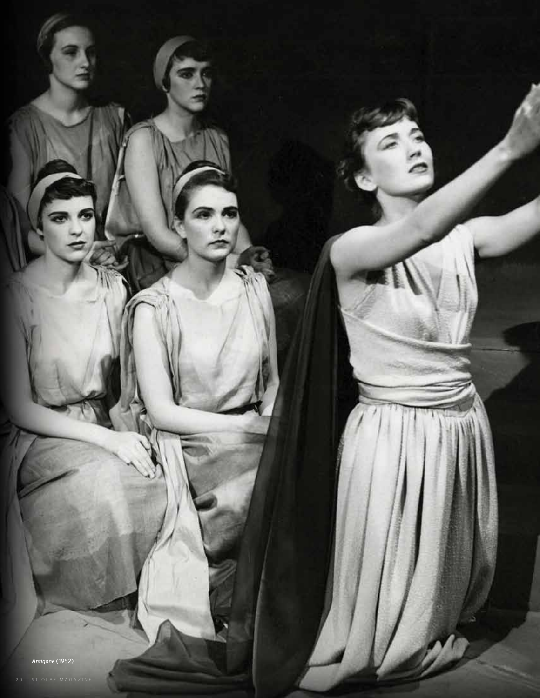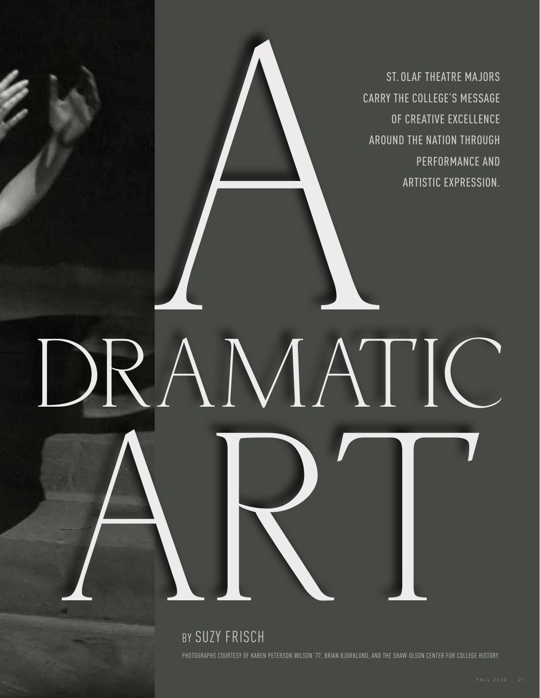EXAMPLE CARRY<br>AMAT St. Olaf theatre majors carry the college's message of creative excellence around the nation through performance and artistic expression.

RAMATIC BY SUZY FRISCH PHOTOGRAPHS COURTESY OF KAREN PETERSON WILSON '77, BRIAN BJORKLUND, AND THE SHAW-OLSON CENTER FOR COLLEGE HISTORY

AMATIC

Dr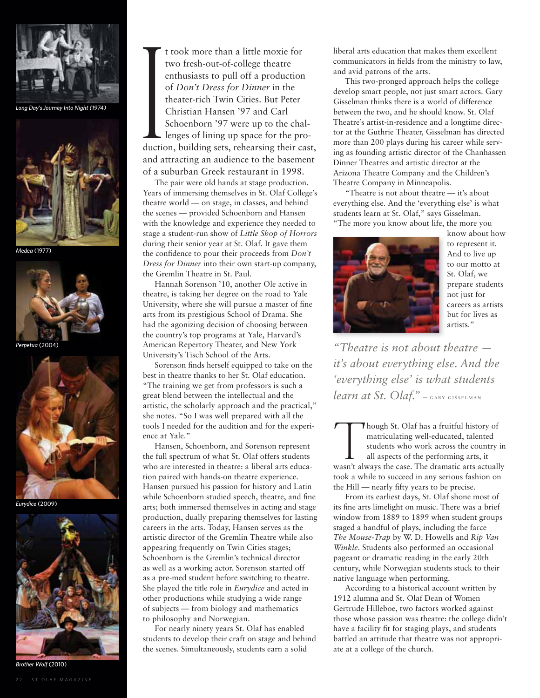

Long Day's Journey Into Night (1974)



*Medea* (1977)



*Perpetua* (2004)



*Eurydice* (2009)



*Brother Wolf* (2010)

t took more than a little moxie for<br>two fresh-out-of-college theatre<br>enthusiasts to pull off a production<br>of *Don't Dress for Dinner* in the<br>theater-rich Twin Cities. But Peter<br>Christian Hansen '97 and Carl<br>Schoenborn '97 t took more than a little moxie for two fresh-out-of-college theatre enthusiasts to pull off a production of *Don't Dress for Dinner* in the theater-rich Twin Cities. But Peter Christian Hansen '97 and Carl Schoenborn '97 were up to the challenges of lining up space for the production, building sets, rehearsing their cast, and attracting an audience to the basement of a suburban Greek restaurant in 1998.

The pair were old hands at stage production. Years of immersing themselves in St. Olaf College's theatre world — on stage, in classes, and behind the scenes — provided Schoenborn and Hansen with the knowledge and experience they needed to stage a student-run show of *Little Shop of Horrors* during their senior year at St. Olaf. It gave them the confidence to pour their proceeds from *Don't Dress for Dinner* into their own start-up company, the Gremlin Theatre in St. Paul.

Hannah Sorenson '10, another Ole active in theatre, is taking her degree on the road to Yale University, where she will pursue a master of fine arts from its prestigious School of Drama. She had the agonizing decision of choosing between the country's top programs at Yale, Harvard's American Repertory Theater, and New York University's Tisch School of the Arts.

Sorenson finds herself equipped to take on the best in theatre thanks to her St. Olaf education. "The training we get from professors is such a great blend between the intellectual and the artistic, the scholarly approach and the practical," she notes. "So I was well prepared with all the tools I needed for the audition and for the experience at Yale."

Hansen, Schoenborn, and Sorenson represent the full spectrum of what St. Olaf offers students who are interested in theatre: a liberal arts education paired with hands-on theatre experience. Hansen pursued his passion for history and Latin while Schoenborn studied speech, theatre, and fine arts; both immersed themselves in acting and stage production, dually preparing themselves for lasting careers in the arts. Today, Hansen serves as the artistic director of the Gremlin Theatre while also appearing frequently on Twin Cities stages; Schoenborn is the Gremlin's technical director as well as a working actor. Sorenson started off as a pre-med student before switching to theatre. She played the title role in *Eurydice* and acted in other productions while studying a wide range of subjects — from biology and mathematics to philosophy and Norwegian.

For nearly ninety years St. Olaf has enabled students to develop their craft on stage and behind the scenes. Simultaneously, students earn a solid

liberal arts education that makes them excellent communicators in fields from the ministry to law, and avid patrons of the arts.

This two-pronged approach helps the college develop smart people, not just smart actors. Gary Gisselman thinks there is a world of difference between the two, and he should know. St. Olaf Theatre's artist-in-residence and a longtime director at the Guthrie Theater, Gisselman has directed more than 200 plays during his career while serving as founding artistic director of the Chanhassen Dinner Theatres and artistic director at the Arizona Theatre Company and the Children's Theatre Company in Minneapolis.

"Theatre is not about theatre — it's about everything else. And the 'everything else' is what students learn at St. Olaf," says Gisselman. "The more you know about life, the more you



know about how to represent it. And to live up to our motto at St. Olaf, we prepare students not just for careers as artists but for lives as artists."

*"Theatre is not about theatre it's about everything else. And the 'everything else' is what students learn at St. Olaf.*" - GARY GISSELMAN

Though St. Olaf has a fruitful history of matriculating well-educated, talented students who work across the country in all aspects of the performing arts, it wasn't always the case. The dramatic arts actually matriculating well-educated, talented students who work across the country in all aspects of the performing arts, it took a while to succeed in any serious fashion on the Hill — nearly fifty years to be precise.

From its earliest days, St. Olaf shone most of its fine arts limelight on music. There was a brief window from 1889 to 1899 when student groups staged a handful of plays, including the farce *The Mouse-Trap* by W. D. Howells and *Rip Van Winkle*. Students also performed an occasional pageant or dramatic reading in the early 20th century, while Norwegian students stuck to their native language when performing.

According to a historical account written by 1912 alumna and St. Olaf Dean of Women Gertrude Hilleboe, two factors worked against those whose passion was theatre: the college didn't have a facility fit for staging plays, and students battled an attitude that theatre was not appropriate at a college of the church.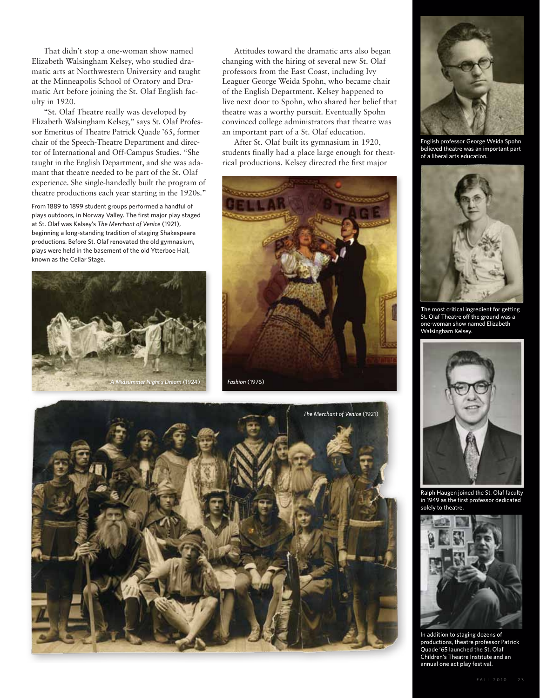That didn't stop a one-woman show named Elizabeth Walsingham Kelsey, who studied dramatic arts at Northwestern University and taught at the Minneapolis School of Oratory and Dramatic Art before joining the St. Olaf English faculty in 1920.

"St. Olaf Theatre really was developed by Elizabeth Walsingham Kelsey," says St. Olaf Professor Emeritus of Theatre Patrick Quade '65, former chair of the Speech-Theatre Department and director of International and Off-Campus Studies. "She taught in the English Department, and she was adamant that theatre needed to be part of the St. Olaf experience. She single-handedly built the program of theatre productions each year starting in the 1920s."

plays outdoors, in Norway Valley. The first major play staged at St. Olaf was Kelsey's *The Merchant of Venice* (1921), beginning a long-standing tradition of staging Shakespeare productions. Before St. Olaf renovated the old gymnasium, plays were held in the basement of the old Ytterboe Hall, known as the Cellar Stage.



Attitudes toward the dramatic arts also began changing with the hiring of several new St. Olaf professors from the East Coast, including Ivy Leaguer George Weida Spohn, who became chair of the English Department. Kelsey happened to live next door to Spohn, who shared her belief that theatre was a worthy pursuit. Eventually Spohn convinced college administrators that theatre was an important part of a St. Olaf education.

After St. Olaf built its gymnasium in 1920, students finally had a place large enough for theatrical productions. Kelsey directed the first major







English professor George Weida Spohn believed theatre was an important part of a liberal arts education.



The most critical ingredient for getting St. Olaf Theatre off the ground was a one-woman show named Elizabeth Walsingham Kelsey.



Ralph Haugen joined the St. Olaf faculty in 1949 as the first professor dedicated solely to theatre.



In addition to staging dozens of productions, theatre professor Patrick Quade '65 launched the St. Olaf Children's Theatre Institute and an annual one act play festival.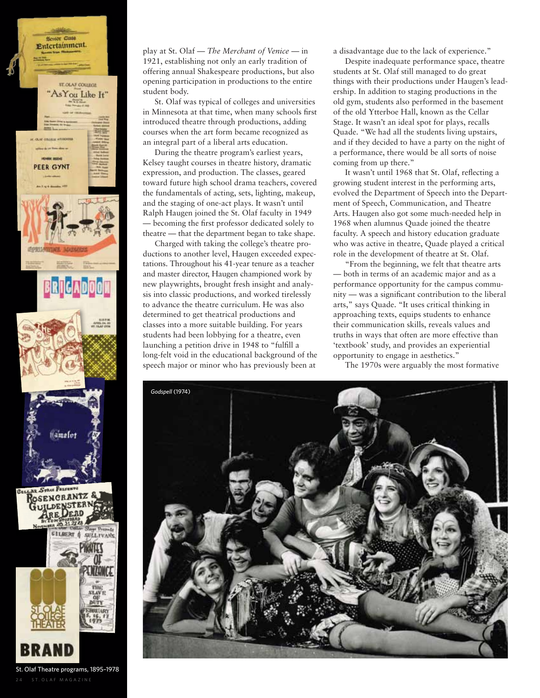

play at St. Olaf — *The Merchant of Venice* — in 1921, establishing not only an early tradition of offering annual Shakespeare productions, but also opening participation in productions to the entire student body.

St. Olaf was typical of colleges and universities in Minnesota at that time, when many schools first introduced theatre through productions, adding courses when the art form became recognized as an integral part of a liberal arts education.

During the theatre program's earliest years, Kelsey taught courses in theatre history, dramatic expression, and production. The classes, geared toward future high school drama teachers, covered the fundamentals of acting, sets, lighting, makeup, and the staging of one-act plays. It wasn't until Ralph Haugen joined the St. Olaf faculty in 1949 — becoming the first professor dedicated solely to theatre — that the department began to take shape.

Charged with taking the college's theatre productions to another level, Haugen exceeded expectations. Throughout his 41-year tenure as a teacher and master director, Haugen championed work by new playwrights, brought fresh insight and analysis into classic productions, and worked tirelessly to advance the theatre curriculum. He was also determined to get theatrical productions and classes into a more suitable building. For years students had been lobbying for a theatre, even launching a petition drive in 1948 to "fulfill a long-felt void in the educational background of the speech major or minor who has previously been at

a disadvantage due to the lack of experience."

Despite inadequate performance space, theatre students at St. Olaf still managed to do great things with their productions under Haugen's leadership. In addition to staging productions in the old gym, students also performed in the basement of the old Ytterboe Hall, known as the Cellar Stage. It wasn't an ideal spot for plays, recalls Quade. "We had all the students living upstairs, and if they decided to have a party on the night of a performance, there would be all sorts of noise coming from up there."

It wasn't until 1968 that St. Olaf, reflecting a growing student interest in the performing arts, evolved the Department of Speech into the Department of Speech, Communication, and Theatre Arts. Haugen also got some much-needed help in 1968 when alumnus Quade joined the theatre faculty. A speech and history education graduate who was active in theatre, Quade played a critical role in the development of theatre at St. Olaf.

"From the beginning, we felt that theatre arts — both in terms of an academic major and as a performance opportunity for the campus community — was a significant contribution to the liberal arts," says Quade. "It uses critical thinking in approaching texts, equips students to enhance their communication skills, reveals values and truths in ways that often are more effective than 'textbook' study, and provides an experiential opportunity to engage in aesthetics."

The 1970s were arguably the most formative